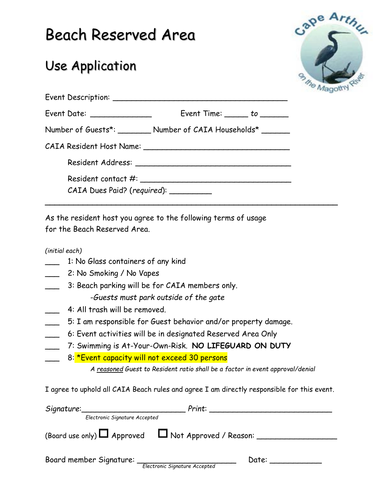# Beach Reserved Area

## Use Application



| Event Date: ______________            | $Event Time:$ $to$ $to$                                         |
|---------------------------------------|-----------------------------------------------------------------|
|                                       | Number of Guests*: _________ Number of CAIA Households* _______ |
|                                       |                                                                 |
|                                       |                                                                 |
| CAIA Dues Paid? (required): _________ |                                                                 |

**\_\_\_\_\_\_\_\_\_\_\_\_\_\_\_\_\_\_\_\_\_\_\_\_\_\_\_\_\_\_\_\_\_\_\_\_\_\_\_\_\_\_\_\_\_\_\_\_\_\_\_\_\_\_\_\_\_\_\_\_\_\_**

As the resident host you agree to the following terms of usage for the Beach Reserved Area.

*(initial each)*

1: No Glass containers of any kind

2: No Smoking / No Vapes

3: Beach parking will be for CAIA members only.

-*Guests must park outside of the gate*

- 4: All trash will be removed.
- \_\_\_ 5: I am responsible for Guest behavior and/or property damage.
- \_\_\_ 6: Event activities will be in designated Reserved Area Only
- \_\_\_ 7: Swimming is At-Your-Own-Risk. **NO LIFEGUARD ON DUTY**
- 8: <u>\*Event capacity will not exceed 30 persons</u>

*A reasoned Guest to Resident ratio shall be a factor in event approval/denial* 

I agree to uphold all CAIA Beach rules and agree I am directly responsible for this event.

| Signature:                                                     | Print: |
|----------------------------------------------------------------|--------|
| Electronic Signature Accepted                                  |        |
| (Board use only) $\Box$ Approved $\Box$ Not Approved / Reason: |        |
| Board member Signature:<br>Electronic Signature Accepted       | Date:  |